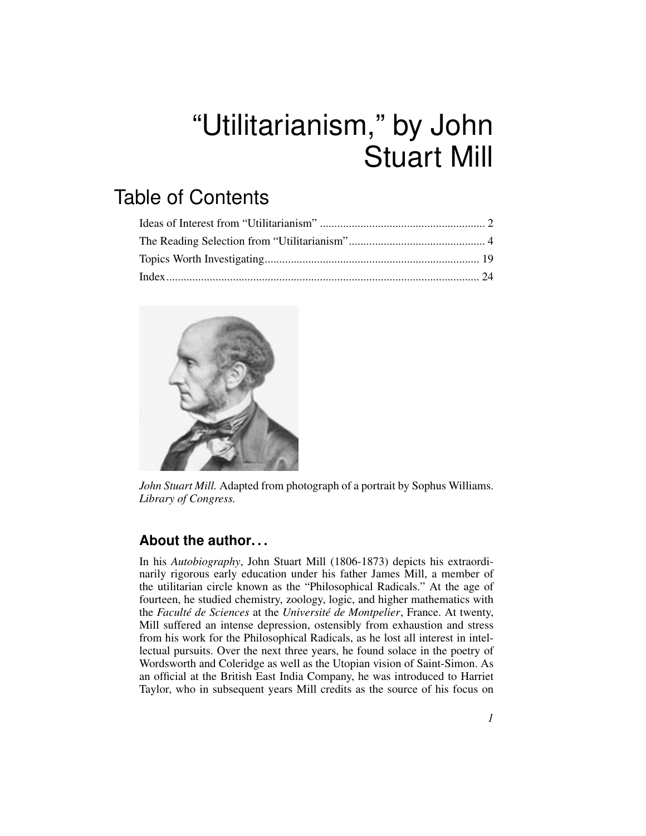# "Utilitarianism," by John Stuart Mill

# Table of Contents



*John Stuart Mill.* Adapted from photograph of a portrait by Sophus Williams. *Library of Congress.*

### **About the author. . .**

<span id="page-0-6"></span><span id="page-0-5"></span><span id="page-0-4"></span><span id="page-0-3"></span><span id="page-0-2"></span><span id="page-0-1"></span><span id="page-0-0"></span>In his *Autobiography*, John Stuart Mill (1806-1873) depicts his extraordinarily rigorous early education under his father James Mill, a member of the utilitarian circle known as the "Philosophical Radicals." At the age of fourteen, he studied chemistry, zoology, logic, and higher mathematics with the *Faculté de Sciences* at the *Université de Montpelier*, France. At twenty, Mill suffered an intense depression, ostensibly from exhaustion and stress from his work for the Philosophical Radicals, as he lost all interest in intellectual pursuits. Over the next three years, he found solace in the poetry of Wordsworth and Coleridge as well as the Utopian vision of Saint-Simon. As an official at the British East India Company, he was introduced to Harriet Taylor, who in subsequent years Mill credits as the source of his focus on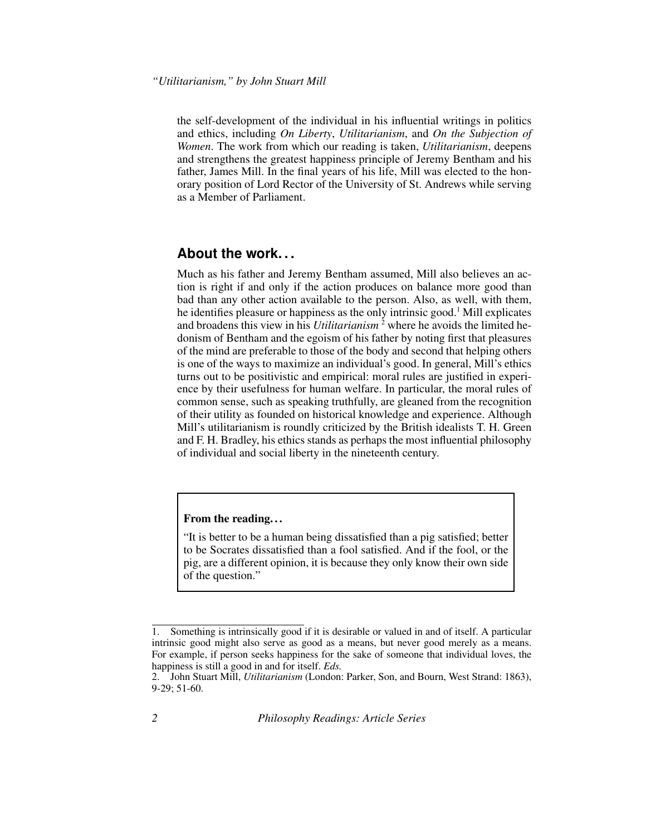<span id="page-1-6"></span><span id="page-1-1"></span>the self-development of the individual in his influential writings in politics and ethics, including *On Liberty*, *Utilitarianism*, and *On the Subjection of Women*. The work from which our reading is taken, *Utilitarianism*, deepens and strengthens the greatest happiness principle of Jeremy Bentham and his father, James Mill. In the final years of his life, Mill was elected to the honorary position of Lord Rector of the University of St. Andrews while serving as a Member of Parliament.

#### **About the work. . .**

<span id="page-1-5"></span><span id="page-1-3"></span>Much as his father and Jeremy Bentham assumed, Mill also believes an action is right if and only if the action produces on balance more good than bad than any other action available to the person. Also, as well, with them, he identifies pleasure or happiness as the only intrinsic good.<sup>1</sup> Mill explicates and broadens this view in his *Utilitarianism*<sup>2</sup> where he avoids the limited hedonism of Bentham and the egoism of his father by noting first that pleasures of the mind are preferable to those of the body and second that helping others is one of the ways to maximize an individual's good. In general, Mill's ethics turns out to be positivistic and empirical: moral rules are justified in experience by their usefulness for human welfare. In particular, the moral rules of common sense, such as speaking truthfully, are gleaned from the recognition of their utility as founded on historical knowledge and experience. Although Mill's utilitarianism is roundly criticized by the British idealists T. H. Green and F. H. Bradley, his ethics stands as perhaps the most influential philosophy of individual and social liberty in the nineteenth century.

#### <span id="page-1-4"></span><span id="page-1-2"></span>From the reading. . .

"It is better to be a human being dissatisfied than a pig satisfied; better to be Socrates dissatisfied than a fool satisfied. And if the fool, or the pig, are a different opinion, it is because they only know their own side of the question."

<span id="page-1-0"></span><sup>1.</sup> Something is intrinsically good if it is desirable or valued in and of itself. A particular intrinsic good might also serve as good as a means, but never good merely as a means. For example, if person seeks happiness for the sake of someone that individual loves, the happiness is still a good in and for itself. *Eds.*

<sup>2.</sup> John Stuart Mill, *Utilitarianism* (London: Parker, Son, and Bourn, West Strand: 1863), 9-29; 51-60.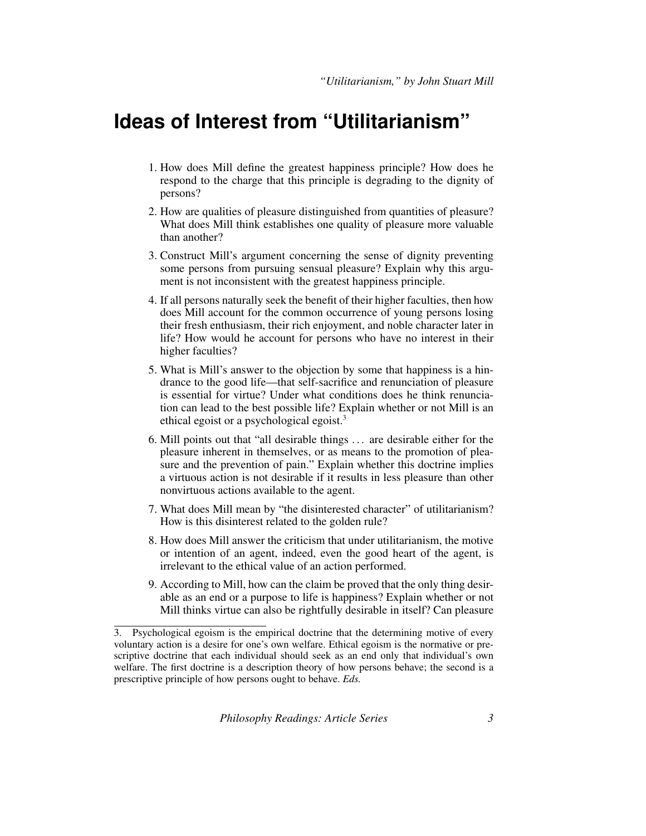### **Ideas of Interest from "Utilitarianism"**

- 1. How does Mill define the greatest happiness principle? How does he respond to the charge that this principle is degrading to the dignity of persons?
- 2. How are qualities of pleasure distinguished from quantities of pleasure? What does Mill think establishes one quality of pleasure more valuable than another?
- 3. Construct Mill's argument concerning the sense of dignity preventing some persons from pursuing sensual pleasure? Explain why this argument is not inconsistent with the greatest happiness principle.
- 4. If all persons naturally seek the benefit of their higher faculties, then how does Mill account for the common occurrence of young persons losing their fresh enthusiasm, their rich enjoyment, and noble character later in life? How would he account for persons who have no interest in their higher faculties?
- 5. What is Mill's answer to the objection by some that happiness is a hindrance to the good life—that self-sacrifice and renunciation of pleasure is essential for virtue? Under what conditions does he think renunciation can lead to the best possible life? Explain whether or not Mill is an ethical egoist or a psychological egoist.<sup>3</sup>
- <span id="page-2-1"></span>6. Mill points out that "all desirable things . . . are desirable either for the pleasure inherent in themselves, or as means to the promotion of pleasure and the prevention of pain." Explain whether this doctrine implies a virtuous action is not desirable if it results in less pleasure than other nonvirtuous actions available to the agent.
- 7. What does Mill mean by "the disinterested character" of utilitarianism? How is this disinterest related to the golden rule?
- 8. How does Mill answer the criticism that under utilitarianism, the motive or intention of an agent, indeed, even the good heart of the agent, is irrelevant to the ethical value of an action performed.
- <span id="page-2-0"></span>9. According to Mill, how can the claim be proved that the only thing desirable as an end or a purpose to life is happiness? Explain whether or not Mill thinks virtue can also be rightfully desirable in itself? Can pleasure

<sup>3.</sup> Psychological egoism is the empirical doctrine that the determining motive of every voluntary action is a desire for one's own welfare. Ethical egoism is the normative or prescriptive doctrine that each individual should seek as an end only that individual's own welfare. The first doctrine is a description theory of how persons behave; the second is a prescriptive principle of how persons ought to behave. *Eds.*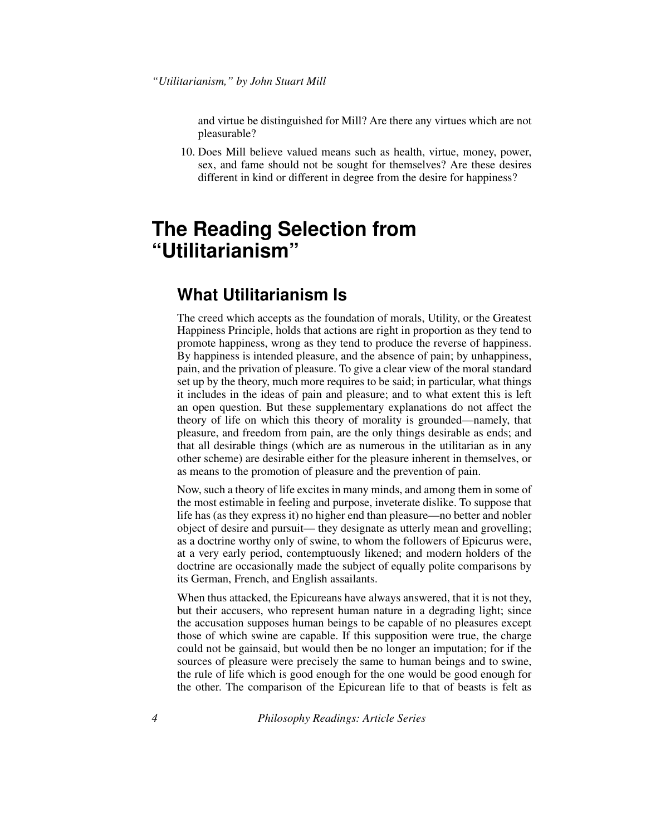and virtue be distinguished for Mill? Are there any virtues which are not pleasurable?

10. Does Mill believe valued means such as health, virtue, money, power, sex, and fame should not be sought for themselves? Are these desires different in kind or different in degree from the desire for happiness?

### <span id="page-3-0"></span>**The Reading Selection from "Utilitarianism"**

### <span id="page-3-4"></span>**What Utilitarianism Is**

<span id="page-3-6"></span><span id="page-3-3"></span>The creed which accepts as the foundation of morals, Utility, or the Greatest Happiness Principle, holds that actions are right in proportion as they tend to promote happiness, wrong as they tend to produce the reverse of happiness. By happiness is intended pleasure, and the absence of pain; by unhappiness, pain, and the privation of pleasure. To give a clear view of the moral standard set up by the theory, much more requires to be said; in particular, what things it includes in the ideas of pain and pleasure; and to what extent this is left an open question. But these supplementary explanations do not affect the theory of life on which this theory of morality is grounded—namely, that pleasure, and freedom from pain, are the only things desirable as ends; and that all desirable things (which are as numerous in the utilitarian as in any other scheme) are desirable either for the pleasure inherent in themselves, or as means to the promotion of pleasure and the prevention of pain.

Now, such a theory of life excites in many minds, and among them in some of the most estimable in feeling and purpose, inveterate dislike. To suppose that life has (as they express it) no higher end than pleasure—no better and nobler object of desire and pursuit— they designate as utterly mean and grovelling; as a doctrine worthy only of swine, to whom the followers of Epicurus were, at a very early period, contemptuously likened; and modern holders of the doctrine are occasionally made the subject of equally polite comparisons by its German, French, and English assailants.

<span id="page-3-5"></span><span id="page-3-2"></span><span id="page-3-1"></span>When thus attacked, the Epicureans have always answered, that it is not they, but their accusers, who represent human nature in a degrading light; since the accusation supposes human beings to be capable of no pleasures except those of which swine are capable. If this supposition were true, the charge could not be gainsaid, but would then be no longer an imputation; for if the sources of pleasure were precisely the same to human beings and to swine, the rule of life which is good enough for the one would be good enough for the other. The comparison of the Epicurean life to that of beasts is felt as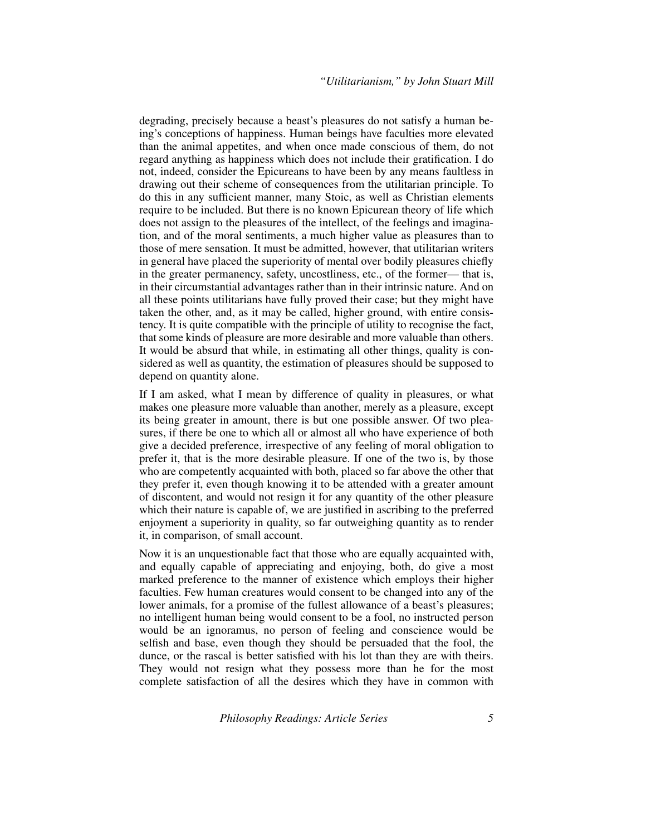<span id="page-4-4"></span>degrading, precisely because a beast's pleasures do not satisfy a human being's conceptions of happiness. Human beings have faculties more elevated than the animal appetites, and when once made conscious of them, do not regard anything as happiness which does not include their gratification. I do not, indeed, consider the Epicureans to have been by any means faultless in drawing out their scheme of consequences from the utilitarian principle. To do this in any sufficient manner, many Stoic, as well as Christian elements require to be included. But there is no known Epicurean theory of life which does not assign to the pleasures of the intellect, of the feelings and imagination, and of the moral sentiments, a much higher value as pleasures than to those of mere sensation. It must be admitted, however, that utilitarian writers in general have placed the superiority of mental over bodily pleasures chiefly in the greater permanency, safety, uncostliness, etc., of the former— that is, in their circumstantial advantages rather than in their intrinsic nature. And on all these points utilitarians have fully proved their case; but they might have taken the other, and, as it may be called, higher ground, with entire consistency. It is quite compatible with the principle of utility to recognise the fact, that some kinds of pleasure are more desirable and more valuable than others. It would be absurd that while, in estimating all other things, quality is considered as well as quantity, the estimation of pleasures should be supposed to depend on quantity alone.

<span id="page-4-3"></span><span id="page-4-2"></span><span id="page-4-1"></span>If I am asked, what I mean by difference of quality in pleasures, or what makes one pleasure more valuable than another, merely as a pleasure, except its being greater in amount, there is but one possible answer. Of two pleasures, if there be one to which all or almost all who have experience of both give a decided preference, irrespective of any feeling of moral obligation to prefer it, that is the more desirable pleasure. If one of the two is, by those who are competently acquainted with both, placed so far above the other that they prefer it, even though knowing it to be attended with a greater amount of discontent, and would not resign it for any quantity of the other pleasure which their nature is capable of, we are justified in ascribing to the preferred enjoyment a superiority in quality, so far outweighing quantity as to render it, in comparison, of small account.

<span id="page-4-0"></span>Now it is an unquestionable fact that those who are equally acquainted with, and equally capable of appreciating and enjoying, both, do give a most marked preference to the manner of existence which employs their higher faculties. Few human creatures would consent to be changed into any of the lower animals, for a promise of the fullest allowance of a beast's pleasures; no intelligent human being would consent to be a fool, no instructed person would be an ignoramus, no person of feeling and conscience would be selfish and base, even though they should be persuaded that the fool, the dunce, or the rascal is better satisfied with his lot than they are with theirs. They would not resign what they possess more than he for the most complete satisfaction of all the desires which they have in common with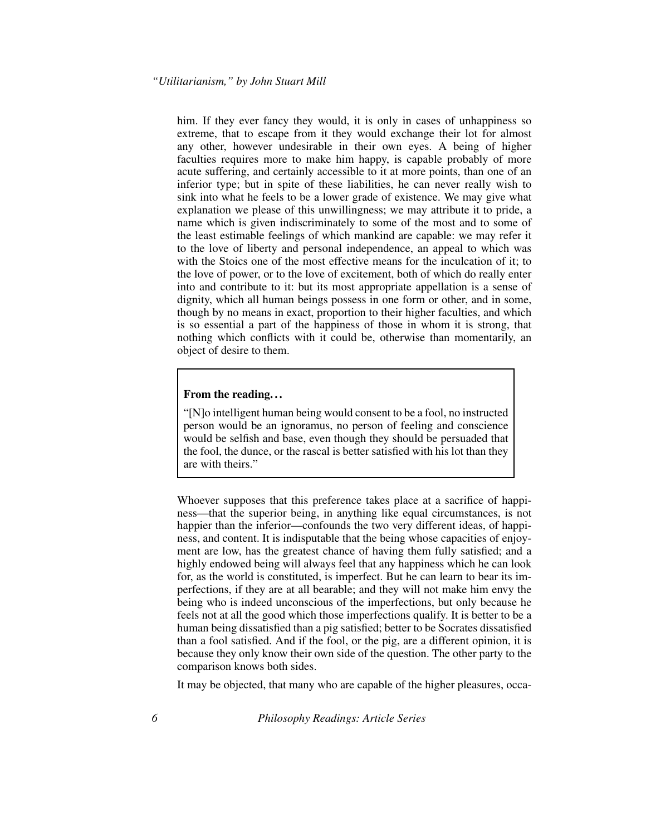him. If they ever fancy they would, it is only in cases of unhappiness so extreme, that to escape from it they would exchange their lot for almost any other, however undesirable in their own eyes. A being of higher faculties requires more to make him happy, is capable probably of more acute suffering, and certainly accessible to it at more points, than one of an inferior type; but in spite of these liabilities, he can never really wish to sink into what he feels to be a lower grade of existence. We may give what explanation we please of this unwillingness; we may attribute it to pride, a name which is given indiscriminately to some of the most and to some of the least estimable feelings of which mankind are capable: we may refer it to the love of liberty and personal independence, an appeal to which was with the Stoics one of the most effective means for the inculcation of it; to the love of power, or to the love of excitement, both of which do really enter into and contribute to it: but its most appropriate appellation is a sense of dignity, which all human beings possess in one form or other, and in some, though by no means in exact, proportion to their higher faculties, and which is so essential a part of the happiness of those in whom it is strong, that nothing which conflicts with it could be, otherwise than momentarily, an object of desire to them.

#### <span id="page-5-0"></span>From the reading. . .

"[N]o intelligent human being would consent to be a fool, no instructed person would be an ignoramus, no person of feeling and conscience would be selfish and base, even though they should be persuaded that the fool, the dunce, or the rascal is better satisfied with his lot than they are with theirs."

Whoever supposes that this preference takes place at a sacrifice of happiness—that the superior being, in anything like equal circumstances, is not happier than the inferior—confounds the two very different ideas, of happiness, and content. It is indisputable that the being whose capacities of enjoyment are low, has the greatest chance of having them fully satisfied; and a highly endowed being will always feel that any happiness which he can look for, as the world is constituted, is imperfect. But he can learn to bear its imperfections, if they are at all bearable; and they will not make him envy the being who is indeed unconscious of the imperfections, but only because he feels not at all the good which those imperfections qualify. It is better to be a human being dissatisfied than a pig satisfied; better to be Socrates dissatisfied than a fool satisfied. And if the fool, or the pig, are a different opinion, it is because they only know their own side of the question. The other party to the comparison knows both sides.

It may be objected, that many who are capable of the higher pleasures, occa-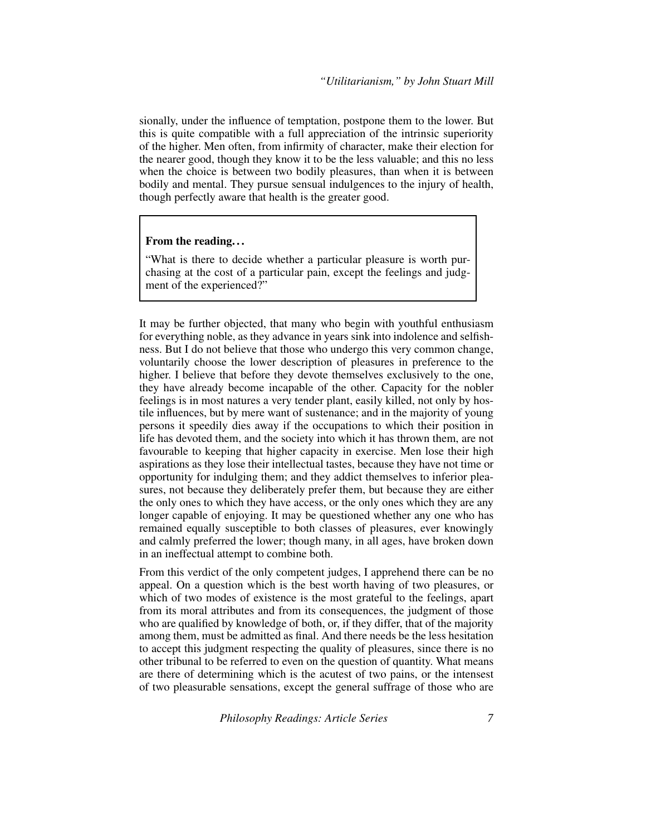sionally, under the influence of temptation, postpone them to the lower. But this is quite compatible with a full appreciation of the intrinsic superiority of the higher. Men often, from infirmity of character, make their election for the nearer good, though they know it to be the less valuable; and this no less when the choice is between two bodily pleasures, than when it is between bodily and mental. They pursue sensual indulgences to the injury of health, though perfectly aware that health is the greater good.

#### From the reading. . .

"What is there to decide whether a particular pleasure is worth purchasing at the cost of a particular pain, except the feelings and judgment of the experienced?"

It may be further objected, that many who begin with youthful enthusiasm for everything noble, as they advance in years sink into indolence and selfishness. But I do not believe that those who undergo this very common change, voluntarily choose the lower description of pleasures in preference to the higher. I believe that before they devote themselves exclusively to the one, they have already become incapable of the other. Capacity for the nobler feelings is in most natures a very tender plant, easily killed, not only by hostile influences, but by mere want of sustenance; and in the majority of young persons it speedily dies away if the occupations to which their position in life has devoted them, and the society into which it has thrown them, are not favourable to keeping that higher capacity in exercise. Men lose their high aspirations as they lose their intellectual tastes, because they have not time or opportunity for indulging them; and they addict themselves to inferior pleasures, not because they deliberately prefer them, but because they are either the only ones to which they have access, or the only ones which they are any longer capable of enjoying. It may be questioned whether any one who has remained equally susceptible to both classes of pleasures, ever knowingly and calmly preferred the lower; though many, in all ages, have broken down in an ineffectual attempt to combine both.

<span id="page-6-0"></span>From this verdict of the only competent judges, I apprehend there can be no appeal. On a question which is the best worth having of two pleasures, or which of two modes of existence is the most grateful to the feelings, apart from its moral attributes and from its consequences, the judgment of those who are qualified by knowledge of both, or, if they differ, that of the majority among them, must be admitted as final. And there needs be the less hesitation to accept this judgment respecting the quality of pleasures, since there is no other tribunal to be referred to even on the question of quantity. What means are there of determining which is the acutest of two pains, or the intensest of two pleasurable sensations, except the general suffrage of those who are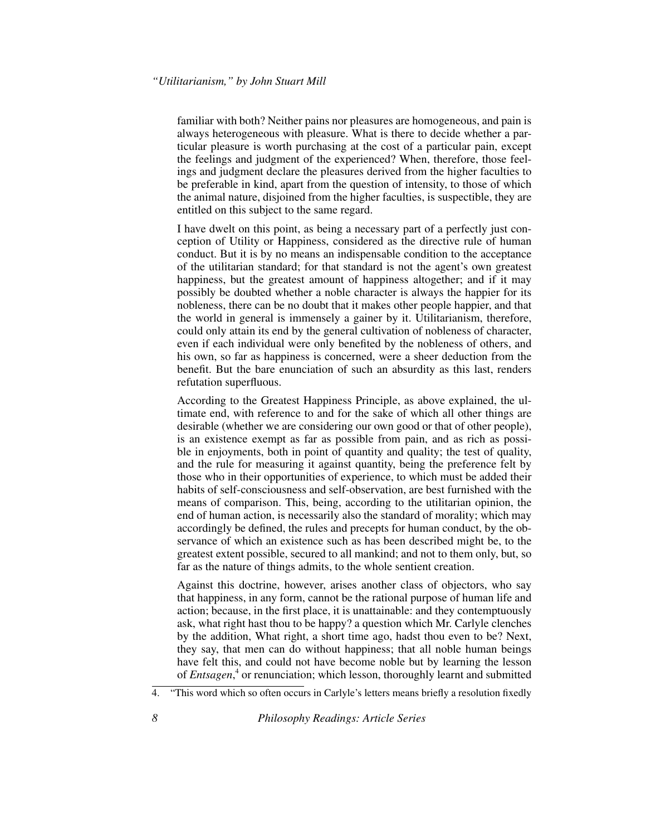<span id="page-7-5"></span>familiar with both? Neither pains nor pleasures are homogeneous, and pain is always heterogeneous with pleasure. What is there to decide whether a particular pleasure is worth purchasing at the cost of a particular pain, except the feelings and judgment of the experienced? When, therefore, those feelings and judgment declare the pleasures derived from the higher faculties to be preferable in kind, apart from the question of intensity, to those of which the animal nature, disjoined from the higher faculties, is suspectible, they are entitled on this subject to the same regard.

I have dwelt on this point, as being a necessary part of a perfectly just conception of Utility or Happiness, considered as the directive rule of human conduct. But it is by no means an indispensable condition to the acceptance of the utilitarian standard; for that standard is not the agent's own greatest happiness, but the greatest amount of happiness altogether; and if it may possibly be doubted whether a noble character is always the happier for its nobleness, there can be no doubt that it makes other people happier, and that the world in general is immensely a gainer by it. Utilitarianism, therefore, could only attain its end by the general cultivation of nobleness of character, even if each individual were only benefited by the nobleness of others, and his own, so far as happiness is concerned, were a sheer deduction from the benefit. But the bare enunciation of such an absurdity as this last, renders refutation superfluous.

<span id="page-7-2"></span>According to the Greatest Happiness Principle, as above explained, the ultimate end, with reference to and for the sake of which all other things are desirable (whether we are considering our own good or that of other people), is an existence exempt as far as possible from pain, and as rich as possible in enjoyments, both in point of quantity and quality; the test of quality, and the rule for measuring it against quantity, being the preference felt by those who in their opportunities of experience, to which must be added their habits of self-consciousness and self-observation, are best furnished with the means of comparison. This, being, according to the utilitarian opinion, the end of human action, is necessarily also the standard of morality; which may accordingly be defined, the rules and precepts for human conduct, by the observance of which an existence such as has been described might be, to the greatest extent possible, secured to all mankind; and not to them only, but, so far as the nature of things admits, to the whole sentient creation.

<span id="page-7-6"></span><span id="page-7-4"></span><span id="page-7-3"></span><span id="page-7-0"></span>Against this doctrine, however, arises another class of objectors, who say that happiness, in any form, cannot be the rational purpose of human life and action; because, in the first place, it is unattainable: and they contemptuously ask, what right hast thou to be happy? a question which Mr. Carlyle clenches by the addition, What right, a short time ago, hadst thou even to be? Next, they say, that men can do without happiness; that all noble human beings have felt this, and could not have become noble but by learning the lesson of *Entsagen*, 4 or renunciation; which lesson, thoroughly learnt and submitted

<span id="page-7-1"></span><sup>4.</sup> "This word which so often occurs in Carlyle's letters means briefly a resolution fixedly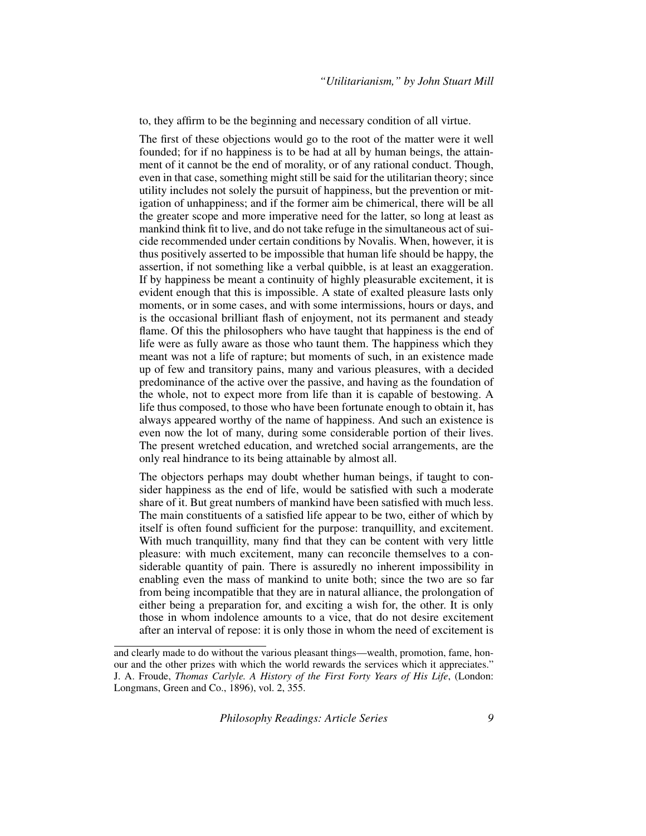to, they affirm to be the beginning and necessary condition of all virtue.

<span id="page-8-2"></span><span id="page-8-1"></span>The first of these objections would go to the root of the matter were it well founded; for if no happiness is to be had at all by human beings, the attainment of it cannot be the end of morality, or of any rational conduct. Though, even in that case, something might still be said for the utilitarian theory; since utility includes not solely the pursuit of happiness, but the prevention or mitigation of unhappiness; and if the former aim be chimerical, there will be all the greater scope and more imperative need for the latter, so long at least as mankind think fit to live, and do not take refuge in the simultaneous act of suicide recommended under certain conditions by Novalis. When, however, it is thus positively asserted to be impossible that human life should be happy, the assertion, if not something like a verbal quibble, is at least an exaggeration. If by happiness be meant a continuity of highly pleasurable excitement, it is evident enough that this is impossible. A state of exalted pleasure lasts only moments, or in some cases, and with some intermissions, hours or days, and is the occasional brilliant flash of enjoyment, not its permanent and steady flame. Of this the philosophers who have taught that happiness is the end of life were as fully aware as those who taunt them. The happiness which they meant was not a life of rapture; but moments of such, in an existence made up of few and transitory pains, many and various pleasures, with a decided predominance of the active over the passive, and having as the foundation of the whole, not to expect more from life than it is capable of bestowing. A life thus composed, to those who have been fortunate enough to obtain it, has always appeared worthy of the name of happiness. And such an existence is even now the lot of many, during some considerable portion of their lives. The present wretched education, and wretched social arrangements, are the only real hindrance to its being attainable by almost all.

<span id="page-8-0"></span>The objectors perhaps may doubt whether human beings, if taught to consider happiness as the end of life, would be satisfied with such a moderate share of it. But great numbers of mankind have been satisfied with much less. The main constituents of a satisfied life appear to be two, either of which by itself is often found sufficient for the purpose: tranquillity, and excitement. With much tranquillity, many find that they can be content with very little pleasure: with much excitement, many can reconcile themselves to a considerable quantity of pain. There is assuredly no inherent impossibility in enabling even the mass of mankind to unite both; since the two are so far from being incompatible that they are in natural alliance, the prolongation of either being a preparation for, and exciting a wish for, the other. It is only those in whom indolence amounts to a vice, that do not desire excitement after an interval of repose: it is only those in whom the need of excitement is

and clearly made to do without the various pleasant things—wealth, promotion, fame, honour and the other prizes with which the world rewards the services which it appreciates." J. A. Froude, *Thomas Carlyle. A History of the First Forty Years of His Life*, (London: Longmans, Green and Co., 1896), vol. 2, 355.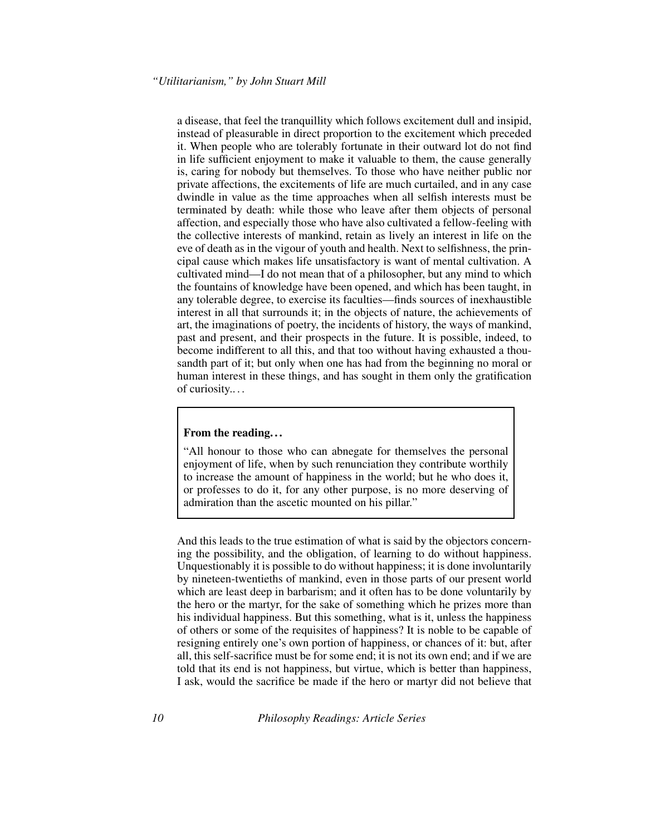<span id="page-9-2"></span><span id="page-9-0"></span>a disease, that feel the tranquillity which follows excitement dull and insipid, instead of pleasurable in direct proportion to the excitement which preceded it. When people who are tolerably fortunate in their outward lot do not find in life sufficient enjoyment to make it valuable to them, the cause generally is, caring for nobody but themselves. To those who have neither public nor private affections, the excitements of life are much curtailed, and in any case dwindle in value as the time approaches when all selfish interests must be terminated by death: while those who leave after them objects of personal affection, and especially those who have also cultivated a fellow-feeling with the collective interests of mankind, retain as lively an interest in life on the eve of death as in the vigour of youth and health. Next to selfishness, the principal cause which makes life unsatisfactory is want of mental cultivation. A cultivated mind—I do not mean that of a philosopher, but any mind to which the fountains of knowledge have been opened, and which has been taught, in any tolerable degree, to exercise its faculties—finds sources of inexhaustible interest in all that surrounds it; in the objects of nature, the achievements of art, the imaginations of poetry, the incidents of history, the ways of mankind, past and present, and their prospects in the future. It is possible, indeed, to become indifferent to all this, and that too without having exhausted a thousandth part of it; but only when one has had from the beginning no moral or human interest in these things, and has sought in them only the gratification of curiosity.. . .

#### From the reading. . .

"All honour to those who can abnegate for themselves the personal enjoyment of life, when by such renunciation they contribute worthily to increase the amount of happiness in the world; but he who does it, or professes to do it, for any other purpose, is no more deserving of admiration than the ascetic mounted on his pillar."

<span id="page-9-3"></span><span id="page-9-1"></span>And this leads to the true estimation of what is said by the objectors concerning the possibility, and the obligation, of learning to do without happiness. Unquestionably it is possible to do without happiness; it is done involuntarily by nineteen-twentieths of mankind, even in those parts of our present world which are least deep in barbarism; and it often has to be done voluntarily by the hero or the martyr, for the sake of something which he prizes more than his individual happiness. But this something, what is it, unless the happiness of others or some of the requisites of happiness? It is noble to be capable of resigning entirely one's own portion of happiness, or chances of it: but, after all, this self-sacrifice must be for some end; it is not its own end; and if we are told that its end is not happiness, but virtue, which is better than happiness, I ask, would the sacrifice be made if the hero or martyr did not believe that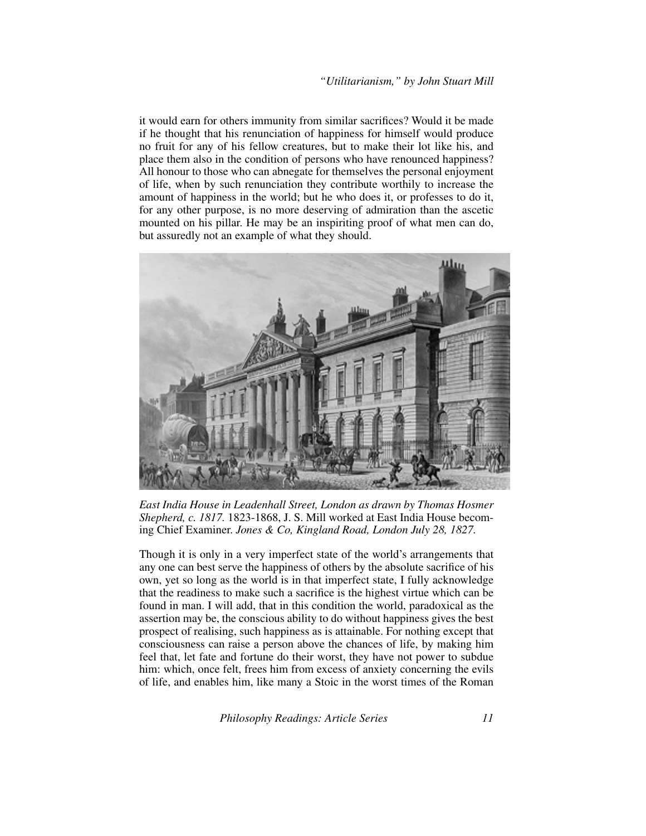it would earn for others immunity from similar sacrifices? Would it be made if he thought that his renunciation of happiness for himself would produce no fruit for any of his fellow creatures, but to make their lot like his, and place them also in the condition of persons who have renounced happiness? All honour to those who can abnegate for themselves the personal enjoyment of life, when by such renunciation they contribute worthily to increase the amount of happiness in the world; but he who does it, or professes to do it, for any other purpose, is no more deserving of admiration than the ascetic mounted on his pillar. He may be an inspiriting proof of what men can do, but assuredly not an example of what they should.



*East India House in Leadenhall Street, London as drawn by Thomas Hosmer Shepherd, c. 1817.* 1823-1868, J. S. Mill worked at East India House becoming Chief Examiner. *Jones & Co, Kingland Road, London July 28, 1827.*

<span id="page-10-1"></span><span id="page-10-0"></span>Though it is only in a very imperfect state of the world's arrangements that any one can best serve the happiness of others by the absolute sacrifice of his own, yet so long as the world is in that imperfect state, I fully acknowledge that the readiness to make such a sacrifice is the highest virtue which can be found in man. I will add, that in this condition the world, paradoxical as the assertion may be, the conscious ability to do without happiness gives the best prospect of realising, such happiness as is attainable. For nothing except that consciousness can raise a person above the chances of life, by making him feel that, let fate and fortune do their worst, they have not power to subdue him: which, once felt, frees him from excess of anxiety concerning the evils of life, and enables him, like many a Stoic in the worst times of the Roman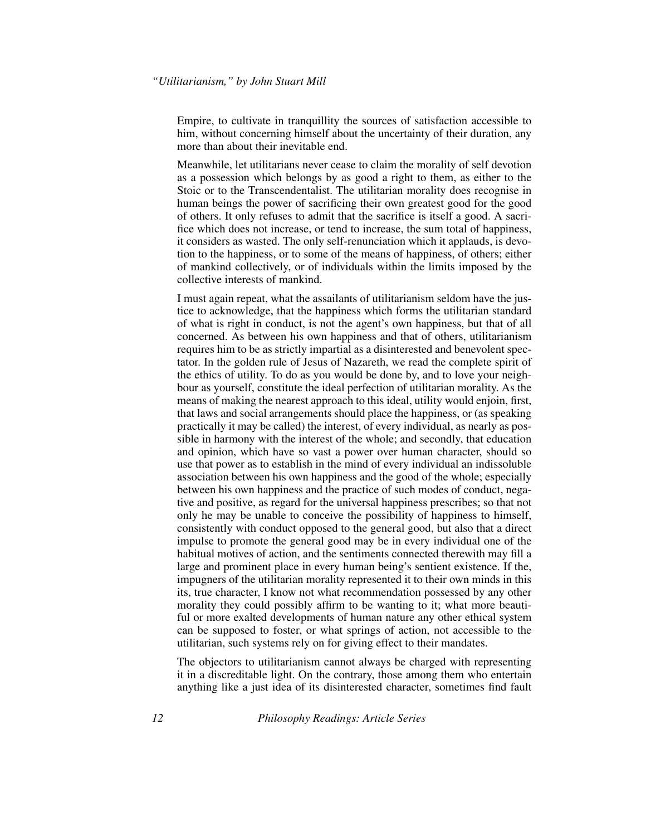Empire, to cultivate in tranquillity the sources of satisfaction accessible to him, without concerning himself about the uncertainty of their duration, any more than about their inevitable end.

<span id="page-11-2"></span>Meanwhile, let utilitarians never cease to claim the morality of self devotion as a possession which belongs by as good a right to them, as either to the Stoic or to the Transcendentalist. The utilitarian morality does recognise in human beings the power of sacrificing their own greatest good for the good of others. It only refuses to admit that the sacrifice is itself a good. A sacrifice which does not increase, or tend to increase, the sum total of happiness, it considers as wasted. The only self-renunciation which it applauds, is devotion to the happiness, or to some of the means of happiness, of others; either of mankind collectively, or of individuals within the limits imposed by the collective interests of mankind.

<span id="page-11-6"></span><span id="page-11-3"></span><span id="page-11-1"></span><span id="page-11-0"></span>I must again repeat, what the assailants of utilitarianism seldom have the justice to acknowledge, that the happiness which forms the utilitarian standard of what is right in conduct, is not the agent's own happiness, but that of all concerned. As between his own happiness and that of others, utilitarianism requires him to be as strictly impartial as a disinterested and benevolent spectator. In the golden rule of Jesus of Nazareth, we read the complete spirit of the ethics of utility. To do as you would be done by, and to love your neighbour as yourself, constitute the ideal perfection of utilitarian morality. As the means of making the nearest approach to this ideal, utility would enjoin, first, that laws and social arrangements should place the happiness, or (as speaking practically it may be called) the interest, of every individual, as nearly as possible in harmony with the interest of the whole; and secondly, that education and opinion, which have so vast a power over human character, should so use that power as to establish in the mind of every individual an indissoluble association between his own happiness and the good of the whole; especially between his own happiness and the practice of such modes of conduct, negative and positive, as regard for the universal happiness prescribes; so that not only he may be unable to conceive the possibility of happiness to himself, consistently with conduct opposed to the general good, but also that a direct impulse to promote the general good may be in every individual one of the habitual motives of action, and the sentiments connected therewith may fill a large and prominent place in every human being's sentient existence. If the, impugners of the utilitarian morality represented it to their own minds in this its, true character, I know not what recommendation possessed by any other morality they could possibly affirm to be wanting to it; what more beautiful or more exalted developments of human nature any other ethical system can be supposed to foster, or what springs of action, not accessible to the utilitarian, such systems rely on for giving effect to their mandates.

<span id="page-11-5"></span><span id="page-11-4"></span>The objectors to utilitarianism cannot always be charged with representing it in a discreditable light. On the contrary, those among them who entertain anything like a just idea of its disinterested character, sometimes find fault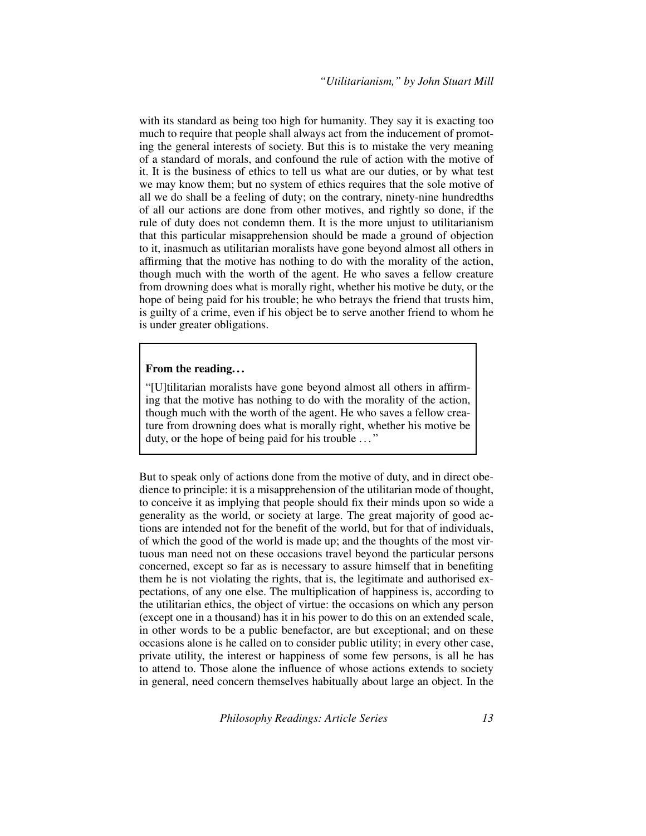<span id="page-12-0"></span>with its standard as being too high for humanity. They say it is exacting too much to require that people shall always act from the inducement of promoting the general interests of society. But this is to mistake the very meaning of a standard of morals, and confound the rule of action with the motive of it. It is the business of ethics to tell us what are our duties, or by what test we may know them; but no system of ethics requires that the sole motive of all we do shall be a feeling of duty; on the contrary, ninety-nine hundredths of all our actions are done from other motives, and rightly so done, if the rule of duty does not condemn them. It is the more unjust to utilitarianism that this particular misapprehension should be made a ground of objection to it, inasmuch as utilitarian moralists have gone beyond almost all others in affirming that the motive has nothing to do with the morality of the action, though much with the worth of the agent. He who saves a fellow creature from drowning does what is morally right, whether his motive be duty, or the hope of being paid for his trouble; he who betrays the friend that trusts him, is guilty of a crime, even if his object be to serve another friend to whom he is under greater obligations.

#### <span id="page-12-2"></span>From the reading. . .

"[U]tilitarian moralists have gone beyond almost all others in affirming that the motive has nothing to do with the morality of the action, though much with the worth of the agent. He who saves a fellow creature from drowning does what is morally right, whether his motive be duty, or the hope of being paid for his trouble ..."

<span id="page-12-1"></span>But to speak only of actions done from the motive of duty, and in direct obedience to principle: it is a misapprehension of the utilitarian mode of thought, to conceive it as implying that people should fix their minds upon so wide a generality as the world, or society at large. The great majority of good actions are intended not for the benefit of the world, but for that of individuals, of which the good of the world is made up; and the thoughts of the most virtuous man need not on these occasions travel beyond the particular persons concerned, except so far as is necessary to assure himself that in benefiting them he is not violating the rights, that is, the legitimate and authorised expectations, of any one else. The multiplication of happiness is, according to the utilitarian ethics, the object of virtue: the occasions on which any person (except one in a thousand) has it in his power to do this on an extended scale, in other words to be a public benefactor, are but exceptional; and on these occasions alone is he called on to consider public utility; in every other case, private utility, the interest or happiness of some few persons, is all he has to attend to. Those alone the influence of whose actions extends to society in general, need concern themselves habitually about large an object. In the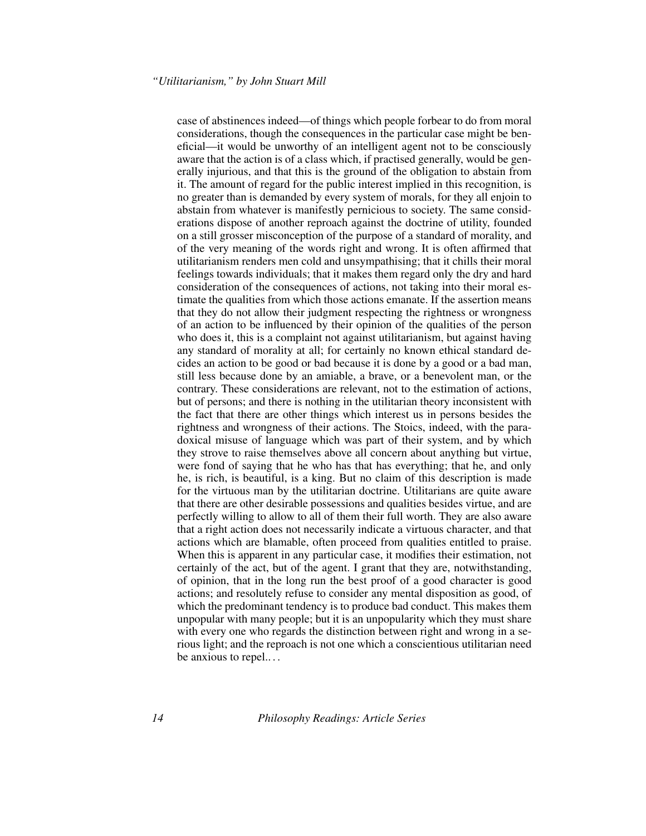<span id="page-13-2"></span><span id="page-13-1"></span><span id="page-13-0"></span>case of abstinences indeed—of things which people forbear to do from moral considerations, though the consequences in the particular case might be beneficial—it would be unworthy of an intelligent agent not to be consciously aware that the action is of a class which, if practised generally, would be generally injurious, and that this is the ground of the obligation to abstain from it. The amount of regard for the public interest implied in this recognition, is no greater than is demanded by every system of morals, for they all enjoin to abstain from whatever is manifestly pernicious to society. The same considerations dispose of another reproach against the doctrine of utility, founded on a still grosser misconception of the purpose of a standard of morality, and of the very meaning of the words right and wrong. It is often affirmed that utilitarianism renders men cold and unsympathising; that it chills their moral feelings towards individuals; that it makes them regard only the dry and hard consideration of the consequences of actions, not taking into their moral estimate the qualities from which those actions emanate. If the assertion means that they do not allow their judgment respecting the rightness or wrongness of an action to be influenced by their opinion of the qualities of the person who does it, this is a complaint not against utilitarianism, but against having any standard of morality at all; for certainly no known ethical standard decides an action to be good or bad because it is done by a good or a bad man, still less because done by an amiable, a brave, or a benevolent man, or the contrary. These considerations are relevant, not to the estimation of actions, but of persons; and there is nothing in the utilitarian theory inconsistent with the fact that there are other things which interest us in persons besides the rightness and wrongness of their actions. The Stoics, indeed, with the paradoxical misuse of language which was part of their system, and by which they strove to raise themselves above all concern about anything but virtue, were fond of saying that he who has that has everything; that he, and only he, is rich, is beautiful, is a king. But no claim of this description is made for the virtuous man by the utilitarian doctrine. Utilitarians are quite aware that there are other desirable possessions and qualities besides virtue, and are perfectly willing to allow to all of them their full worth. They are also aware that a right action does not necessarily indicate a virtuous character, and that actions which are blamable, often proceed from qualities entitled to praise. When this is apparent in any particular case, it modifies their estimation, not certainly of the act, but of the agent. I grant that they are, notwithstanding, of opinion, that in the long run the best proof of a good character is good actions; and resolutely refuse to consider any mental disposition as good, of which the predominant tendency is to produce bad conduct. This makes them unpopular with many people; but it is an unpopularity which they must share with every one who regards the distinction between right and wrong in a serious light; and the reproach is not one which a conscientious utilitarian need be anxious to repel....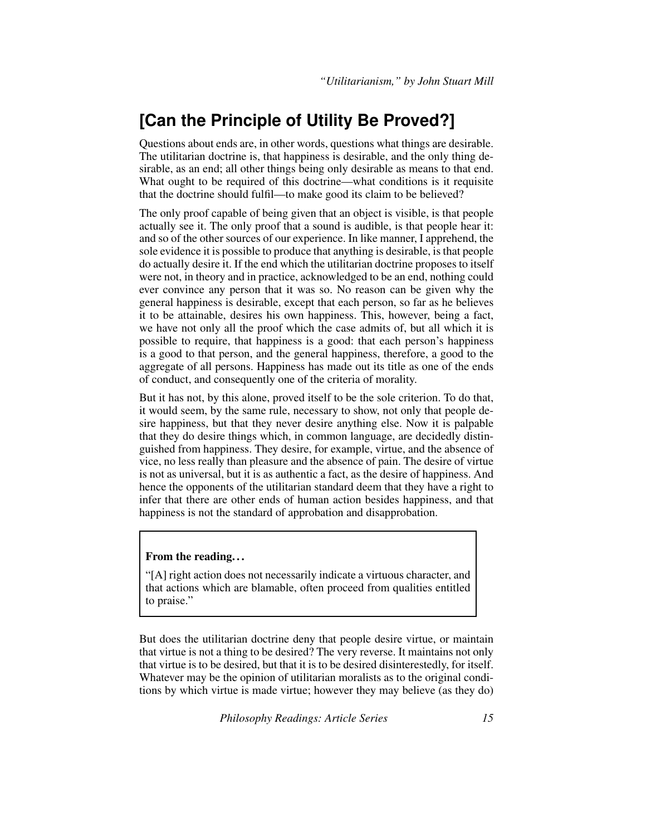### **[Can the Principle of Utility Be Proved?]**

<span id="page-14-2"></span>Questions about ends are, in other words, questions what things are desirable. The utilitarian doctrine is, that happiness is desirable, and the only thing desirable, as an end; all other things being only desirable as means to that end. What ought to be required of this doctrine—what conditions is it requisite that the doctrine should fulfil—to make good its claim to be believed?

The only proof capable of being given that an object is visible, is that people actually see it. The only proof that a sound is audible, is that people hear it: and so of the other sources of our experience. In like manner, I apprehend, the sole evidence it is possible to produce that anything is desirable, is that people do actually desire it. If the end which the utilitarian doctrine proposes to itself were not, in theory and in practice, acknowledged to be an end, nothing could ever convince any person that it was so. No reason can be given why the general happiness is desirable, except that each person, so far as he believes it to be attainable, desires his own happiness. This, however, being a fact, we have not only all the proof which the case admits of, but all which it is possible to require, that happiness is a good: that each person's happiness is a good to that person, and the general happiness, therefore, a good to the aggregate of all persons. Happiness has made out its title as one of the ends of conduct, and consequently one of the criteria of morality.

<span id="page-14-1"></span>But it has not, by this alone, proved itself to be the sole criterion. To do that, it would seem, by the same rule, necessary to show, not only that people desire happiness, but that they never desire anything else. Now it is palpable that they do desire things which, in common language, are decidedly distinguished from happiness. They desire, for example, virtue, and the absence of vice, no less really than pleasure and the absence of pain. The desire of virtue is not as universal, but it is as authentic a fact, as the desire of happiness. And hence the opponents of the utilitarian standard deem that they have a right to infer that there are other ends of human action besides happiness, and that happiness is not the standard of approbation and disapprobation.

#### From the reading. . .

"[A] right action does not necessarily indicate a virtuous character, and that actions which are blamable, often proceed from qualities entitled to praise."

<span id="page-14-0"></span>But does the utilitarian doctrine deny that people desire virtue, or maintain that virtue is not a thing to be desired? The very reverse. It maintains not only that virtue is to be desired, but that it is to be desired disinterestedly, for itself. Whatever may be the opinion of utilitarian moralists as to the original conditions by which virtue is made virtue; however they may believe (as they do)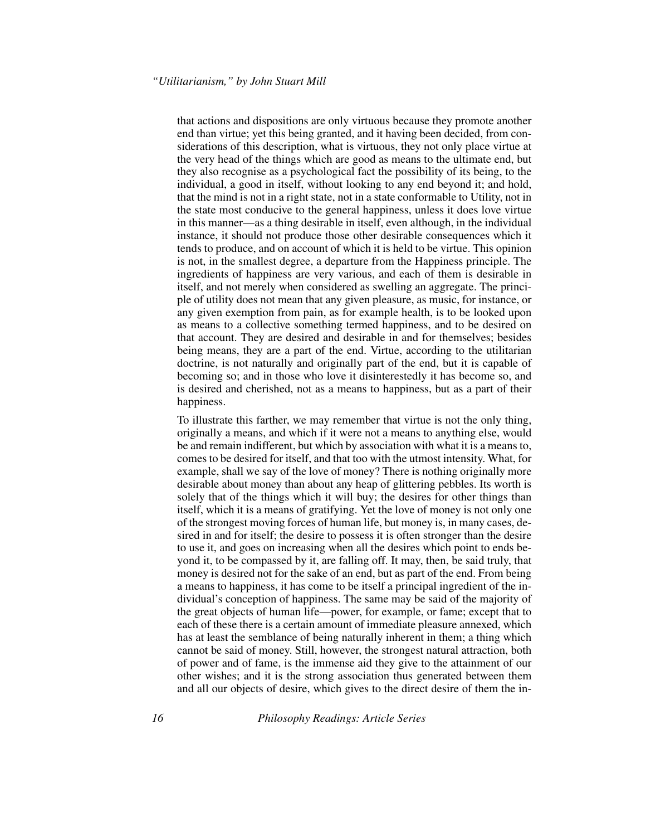<span id="page-15-3"></span><span id="page-15-2"></span>that actions and dispositions are only virtuous because they promote another end than virtue; yet this being granted, and it having been decided, from considerations of this description, what is virtuous, they not only place virtue at the very head of the things which are good as means to the ultimate end, but they also recognise as a psychological fact the possibility of its being, to the individual, a good in itself, without looking to any end beyond it; and hold, that the mind is not in a right state, not in a state conformable to Utility, not in the state most conducive to the general happiness, unless it does love virtue in this manner—as a thing desirable in itself, even although, in the individual instance, it should not produce those other desirable consequences which it tends to produce, and on account of which it is held to be virtue. This opinion is not, in the smallest degree, a departure from the Happiness principle. The ingredients of happiness are very various, and each of them is desirable in itself, and not merely when considered as swelling an aggregate. The principle of utility does not mean that any given pleasure, as music, for instance, or any given exemption from pain, as for example health, is to be looked upon as means to a collective something termed happiness, and to be desired on that account. They are desired and desirable in and for themselves; besides being means, they are a part of the end. Virtue, according to the utilitarian doctrine, is not naturally and originally part of the end, but it is capable of becoming so; and in those who love it disinterestedly it has become so, and is desired and cherished, not as a means to happiness, but as a part of their happiness.

<span id="page-15-1"></span><span id="page-15-0"></span>To illustrate this farther, we may remember that virtue is not the only thing, originally a means, and which if it were not a means to anything else, would be and remain indifferent, but which by association with what it is a means to, comes to be desired for itself, and that too with the utmost intensity. What, for example, shall we say of the love of money? There is nothing originally more desirable about money than about any heap of glittering pebbles. Its worth is solely that of the things which it will buy; the desires for other things than itself, which it is a means of gratifying. Yet the love of money is not only one of the strongest moving forces of human life, but money is, in many cases, desired in and for itself; the desire to possess it is often stronger than the desire to use it, and goes on increasing when all the desires which point to ends beyond it, to be compassed by it, are falling off. It may, then, be said truly, that money is desired not for the sake of an end, but as part of the end. From being a means to happiness, it has come to be itself a principal ingredient of the individual's conception of happiness. The same may be said of the majority of the great objects of human life—power, for example, or fame; except that to each of these there is a certain amount of immediate pleasure annexed, which has at least the semblance of being naturally inherent in them; a thing which cannot be said of money. Still, however, the strongest natural attraction, both of power and of fame, is the immense aid they give to the attainment of our other wishes; and it is the strong association thus generated between them and all our objects of desire, which gives to the direct desire of them the in-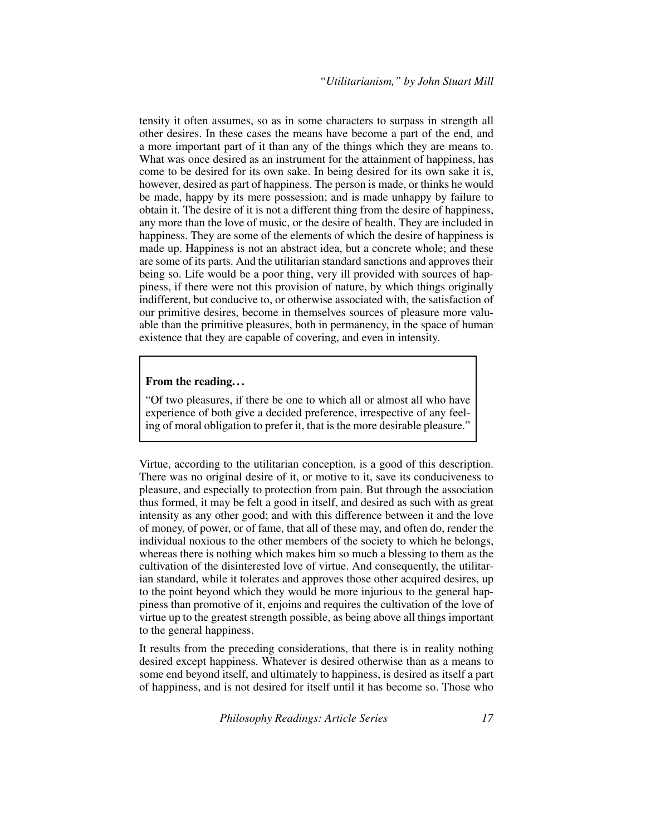<span id="page-16-0"></span>tensity it often assumes, so as in some characters to surpass in strength all other desires. In these cases the means have become a part of the end, and a more important part of it than any of the things which they are means to. What was once desired as an instrument for the attainment of happiness, has come to be desired for its own sake. In being desired for its own sake it is, however, desired as part of happiness. The person is made, or thinks he would be made, happy by its mere possession; and is made unhappy by failure to obtain it. The desire of it is not a different thing from the desire of happiness, any more than the love of music, or the desire of health. They are included in happiness. They are some of the elements of which the desire of happiness is made up. Happiness is not an abstract idea, but a concrete whole; and these are some of its parts. And the utilitarian standard sanctions and approves their being so. Life would be a poor thing, very ill provided with sources of happiness, if there were not this provision of nature, by which things originally indifferent, but conducive to, or otherwise associated with, the satisfaction of our primitive desires, become in themselves sources of pleasure more valuable than the primitive pleasures, both in permanency, in the space of human existence that they are capable of covering, and even in intensity.

#### From the reading. . .

"Of two pleasures, if there be one to which all or almost all who have experience of both give a decided preference, irrespective of any feeling of moral obligation to prefer it, that is the more desirable pleasure."

<span id="page-16-1"></span>Virtue, according to the utilitarian conception, is a good of this description. There was no original desire of it, or motive to it, save its conduciveness to pleasure, and especially to protection from pain. But through the association thus formed, it may be felt a good in itself, and desired as such with as great intensity as any other good; and with this difference between it and the love of money, of power, or of fame, that all of these may, and often do, render the individual noxious to the other members of the society to which he belongs, whereas there is nothing which makes him so much a blessing to them as the cultivation of the disinterested love of virtue. And consequently, the utilitarian standard, while it tolerates and approves those other acquired desires, up to the point beyond which they would be more injurious to the general happiness than promotive of it, enjoins and requires the cultivation of the love of virtue up to the greatest strength possible, as being above all things important to the general happiness.

It results from the preceding considerations, that there is in reality nothing desired except happiness. Whatever is desired otherwise than as a means to some end beyond itself, and ultimately to happiness, is desired as itself a part of happiness, and is not desired for itself until it has become so. Those who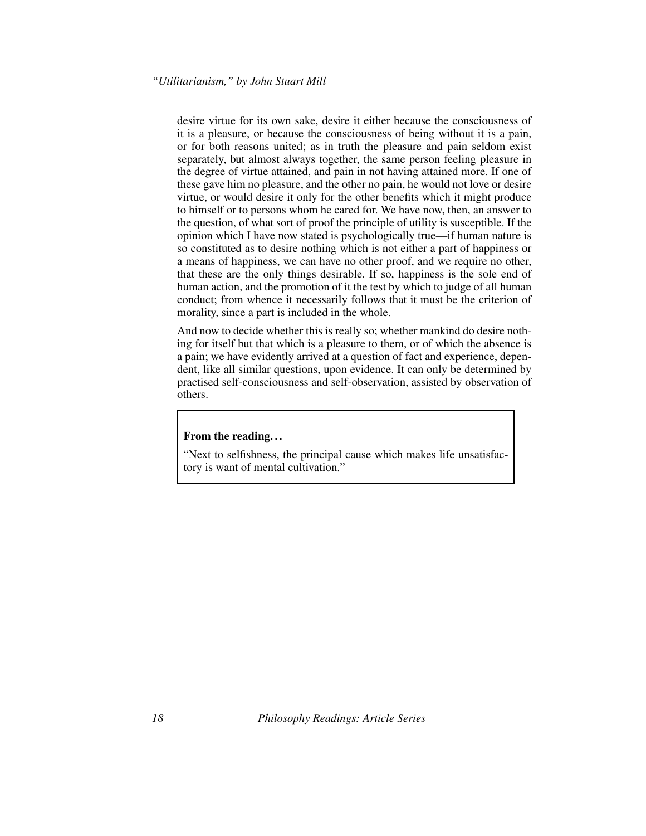<span id="page-17-1"></span>desire virtue for its own sake, desire it either because the consciousness of it is a pleasure, or because the consciousness of being without it is a pain, or for both reasons united; as in truth the pleasure and pain seldom exist separately, but almost always together, the same person feeling pleasure in the degree of virtue attained, and pain in not having attained more. If one of these gave him no pleasure, and the other no pain, he would not love or desire virtue, or would desire it only for the other benefits which it might produce to himself or to persons whom he cared for. We have now, then, an answer to the question, of what sort of proof the principle of utility is susceptible. If the opinion which I have now stated is psychologically true—if human nature is so constituted as to desire nothing which is not either a part of happiness or a means of happiness, we can have no other proof, and we require no other, that these are the only things desirable. If so, happiness is the sole end of human action, and the promotion of it the test by which to judge of all human conduct; from whence it necessarily follows that it must be the criterion of morality, since a part is included in the whole.

<span id="page-17-0"></span>And now to decide whether this is really so; whether mankind do desire nothing for itself but that which is a pleasure to them, or of which the absence is a pain; we have evidently arrived at a question of fact and experience, dependent, like all similar questions, upon evidence. It can only be determined by practised self-consciousness and self-observation, assisted by observation of others.

#### From the reading. . .

"Next to selfishness, the principal cause which makes life unsatisfactory is want of mental cultivation."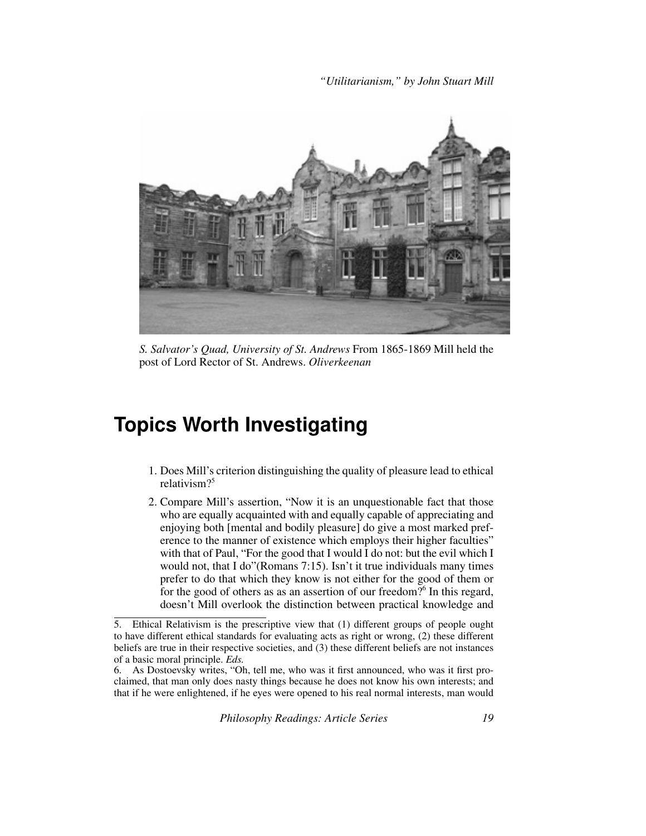*"Utilitarianism," by John Stuart Mill*



*S. Salvator's Quad, University of St. Andrews* From 1865-1869 Mill held the post of Lord Rector of St. Andrews. *Oliverkeenan*

# <span id="page-18-0"></span>**Topics Worth Investigating**

- <span id="page-18-2"></span>1. Does Mill's criterion distinguishing the quality of pleasure lead to ethical relativism?<sup>5</sup>
- <span id="page-18-3"></span>2. Compare Mill's assertion, "Now it is an unquestionable fact that those who are equally acquainted with and equally capable of appreciating and enjoying both [mental and bodily pleasure] do give a most marked preference to the manner of existence which employs their higher faculties" with that of Paul, "For the good that I would I do not: but the evil which I would not, that I do"(Romans 7:15). Isn't it true individuals many times prefer to do that which they know is not either for the good of them or for the good of others as as an assertion of our freedom?<sup>6</sup> In this regard, doesn't Mill overlook the distinction between practical knowledge and

<sup>5.</sup> Ethical Relativism is the prescriptive view that (1) different groups of people ought to have different ethical standards for evaluating acts as right or wrong, (2) these different beliefs are true in their respective societies, and (3) these different beliefs are not instances of a basic moral principle. *Eds.*

<span id="page-18-1"></span><sup>6.</sup> As Dostoevsky writes, "Oh, tell me, who was it first announced, who was it first proclaimed, that man only does nasty things because he does not know his own interests; and that if he were enlightened, if he eyes were opened to his real normal interests, man would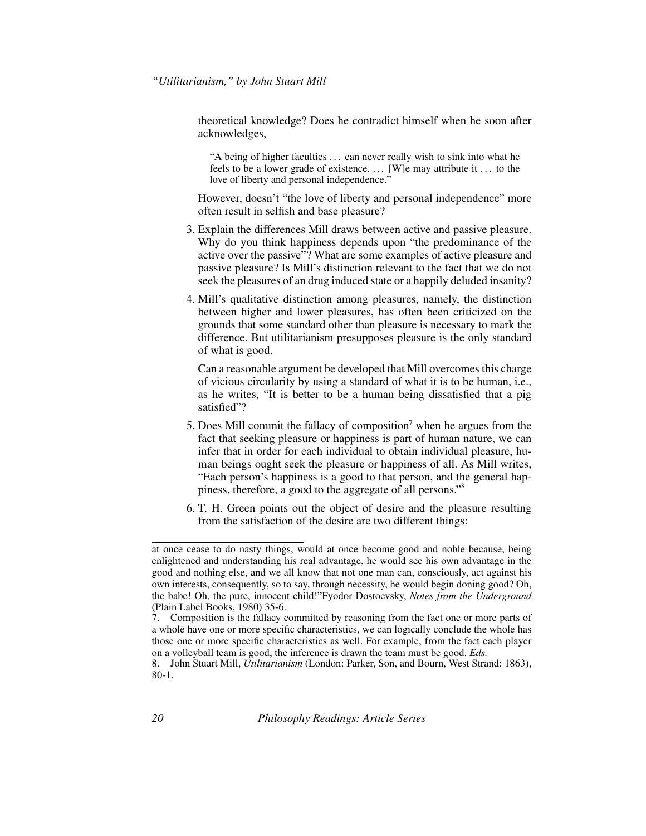theoretical knowledge? Does he contradict himself when he soon after acknowledges,

"A being of higher faculties . . . can never really wish to sink into what he feels to be a lower grade of existence.  $\dots$  [W]e may attribute it  $\dots$  to the love of liberty and personal independence."

However, doesn't "the love of liberty and personal independence" more often result in selfish and base pleasure?

- 3. Explain the differences Mill draws between active and passive pleasure. Why do you think happiness depends upon "the predominance of the active over the passive"? What are some examples of active pleasure and passive pleasure? Is Mill's distinction relevant to the fact that we do not seek the pleasures of an drug induced state or a happily deluded insanity?
- 4. Mill's qualitative distinction among pleasures, namely, the distinction between higher and lower pleasures, has often been criticized on the grounds that some standard other than pleasure is necessary to mark the difference. But utilitarianism presupposes pleasure is the only standard of what is good.

<span id="page-19-0"></span>Can a reasonable argument be developed that Mill overcomes this charge of vicious circularity by using a standard of what it is to be human, i.e., as he writes, "It is better to be a human being dissatisfied that a pig satisfied"?

- 5. Does Mill commit the fallacy of composition<sup>7</sup> when he argues from the fact that seeking pleasure or happiness is part of human nature, we can infer that in order for each individual to obtain individual pleasure, human beings ought seek the pleasure or happiness of all. As Mill writes, "Each person's happiness is a good to that person, and the general happiness, therefore, a good to the aggregate of all persons."<sup>8</sup>
- <span id="page-19-1"></span>6. T. H. Green points out the object of desire and the pleasure resulting from the satisfaction of the desire are two different things:

at once cease to do nasty things, would at once become good and noble because, being enlightened and understanding his real advantage, he would see his own advantage in the good and nothing else, and we all know that not one man can, consciously, act against his own interests, consequently, so to say, through necessity, he would begin doning good? Oh, the babe! Oh, the pure, innocent child!"Fyodor Dostoevsky, *Notes from the Underground* (Plain Label Books, 1980) 35-6.

<sup>7.</sup> Composition is the fallacy committed by reasoning from the fact one or more parts of a whole have one or more specific characteristics, we can logically conclude the whole has those one or more specific characteristics as well. For example, from the fact each player on a volleyball team is good, the inference is drawn the team must be good. *Eds.*

<sup>8.</sup> John Stuart Mill, *Utilitarianism* (London: Parker, Son, and Bourn, West Strand: 1863), 80-1.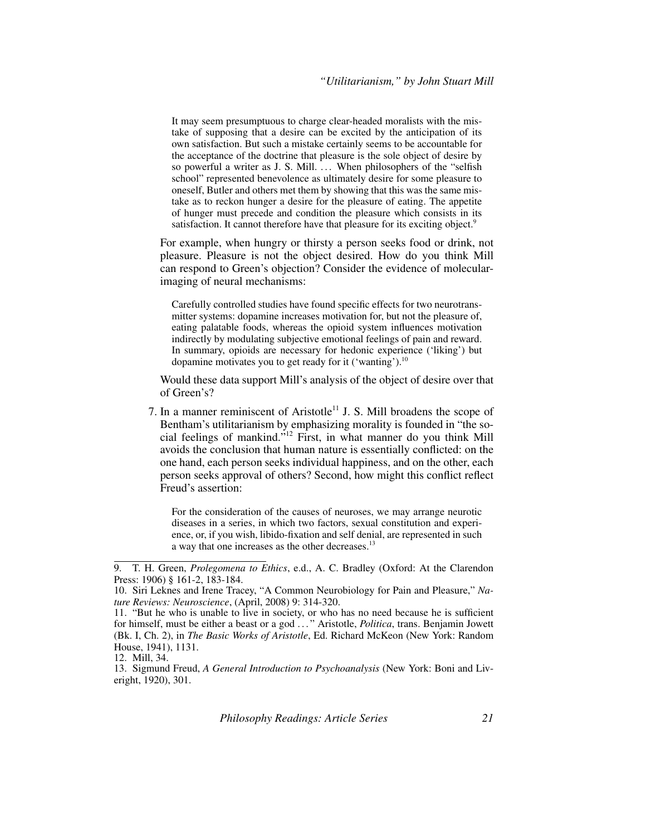<span id="page-20-4"></span>It may seem presumptuous to charge clear-headed moralists with the mistake of supposing that a desire can be excited by the anticipation of its own satisfaction. But such a mistake certainly seems to be accountable for the acceptance of the doctrine that pleasure is the sole object of desire by so powerful a writer as J. S. Mill. ... When philosophers of the "selfish" school" represented benevolence as ultimately desire for some pleasure to oneself, Butler and others met them by showing that this was the same mistake as to reckon hunger a desire for the pleasure of eating. The appetite of hunger must precede and condition the pleasure which consists in its satisfaction. It cannot therefore have that pleasure for its exciting object.<sup>9</sup>

<span id="page-20-2"></span><span id="page-20-1"></span>For example, when hungry or thirsty a person seeks food or drink, not pleasure. Pleasure is not the object desired. How do you think Mill can respond to Green's objection? Consider the evidence of molecularimaging of neural mechanisms:

Carefully controlled studies have found specific effects for two neurotransmitter systems: dopamine increases motivation for, but not the pleasure of, eating palatable foods, whereas the opioid system influences motivation indirectly by modulating subjective emotional feelings of pain and reward. In summary, opioids are necessary for hedonic experience ('liking') but dopamine motivates you to get ready for it ('wanting').<sup>10</sup>

<span id="page-20-0"></span>Would these data support Mill's analysis of the object of desire over that of Green's?

7. In a manner reminiscent of Aristotle<sup>11</sup> J. S. Mill broadens the scope of Bentham's utilitarianism by emphasizing morality is founded in "the social feelings of mankind."<sup>12</sup> First, in what manner do you think Mill avoids the conclusion that human nature is essentially conflicted: on the one hand, each person seeks individual happiness, and on the other, each person seeks approval of others? Second, how might this conflict reflect Freud's assertion:

<span id="page-20-5"></span><span id="page-20-3"></span>For the consideration of the causes of neuroses, we may arrange neurotic diseases in a series, in which two factors, sexual constitution and experience, or, if you wish, libido-fixation and self denial, are represented in such a way that one increases as the other decreases.<sup>13</sup>

<sup>9.</sup> T. H. Green, *Prolegomena to Ethics*, e.d., A. C. Bradley (Oxford: At the Clarendon Press: 1906) § 161-2, 183-184.

<sup>10.</sup> Siri Leknes and Irene Tracey, "A Common Neurobiology for Pain and Pleasure," *Nature Reviews: Neuroscience*, (April, 2008) 9: 314-320.

<sup>11.</sup> "But he who is unable to live in society, or who has no need because he is sufficient for himself, must be either a beast or a god . . . " Aristotle, *Politica*, trans. Benjamin Jowett (Bk. I, Ch. 2), in *The Basic Works of Aristotle*, Ed. Richard McKeon (New York: Random House, 1941), 1131.

<sup>12.</sup> Mill, 34.

<sup>13.</sup> Sigmund Freud, *A General Introduction to Psychoanalysis* (New York: Boni and Liveright, 1920), 301.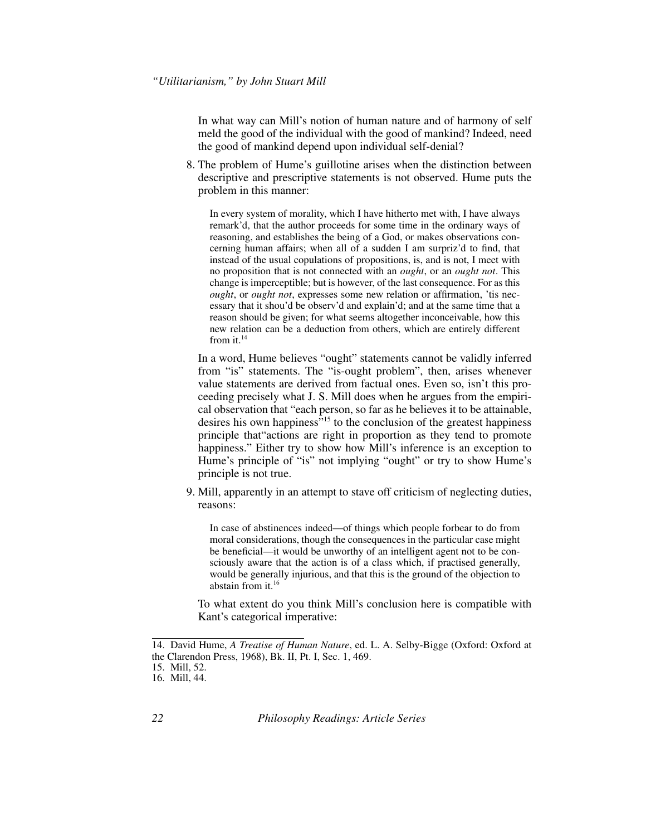In what way can Mill's notion of human nature and of harmony of self meld the good of the individual with the good of mankind? Indeed, need the good of mankind depend upon individual self-denial?

<span id="page-21-3"></span>8. The problem of Hume's guillotine arises when the distinction between descriptive and prescriptive statements is not observed. Hume puts the problem in this manner:

<span id="page-21-1"></span>In every system of morality, which I have hitherto met with, I have always remark'd, that the author proceeds for some time in the ordinary ways of reasoning, and establishes the being of a God, or makes observations concerning human affairs; when all of a sudden I am surpriz'd to find, that instead of the usual copulations of propositions, is, and is not, I meet with no proposition that is not connected with an *ought*, or an *ought not*. This change is imperceptible; but is however, of the last consequence. For as this *ought*, or *ought not*, expresses some new relation or affirmation, 'tis necessary that it shou'd be observ'd and explain'd; and at the same time that a reason should be given; for what seems altogether inconceivable, how this new relation can be a deduction from others, which are entirely different from it. $14$ 

In a word, Hume believes "ought" statements cannot be validly inferred from "is" statements. The "is-ought problem", then, arises whenever value statements are derived from factual ones. Even so, isn't this proceeding precisely what J. S. Mill does when he argues from the empirical observation that "each person, so far as he believes it to be attainable, desires his own happiness $\mathbf{S}^{315}$  to the conclusion of the greatest happiness principle that"actions are right in proportion as they tend to promote happiness." Either try to show how Mill's inference is an exception to Hume's principle of "is" not implying "ought" or try to show Hume's principle is not true.

9. Mill, apparently in an attempt to stave off criticism of neglecting duties, reasons:

In case of abstinences indeed—of things which people forbear to do from moral considerations, though the consequences in the particular case might be beneficial—it would be unworthy of an intelligent agent not to be consciously aware that the action is of a class which, if practised generally, would be generally injurious, and that this is the ground of the objection to abstain from it.<sup>16</sup>

<span id="page-21-2"></span><span id="page-21-0"></span>To what extent do you think Mill's conclusion here is compatible with Kant's categorical imperative:

<sup>14.</sup> David Hume, *A Treatise of Human Nature*, ed. L. A. Selby-Bigge (Oxford: Oxford at the Clarendon Press, 1968), Bk. II, Pt. I, Sec. 1, 469.

<sup>15.</sup> Mill, 52.

<sup>16.</sup> Mill, 44.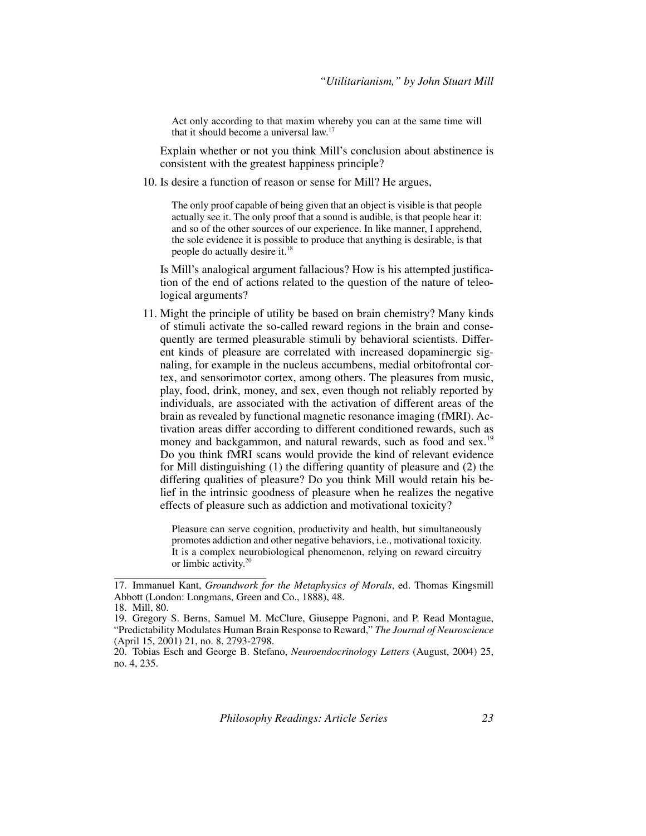Act only according to that maxim whereby you can at the same time will that it should become a universal law.<sup>17</sup>

Explain whether or not you think Mill's conclusion about abstinence is consistent with the greatest happiness principle?

10. Is desire a function of reason or sense for Mill? He argues,

The only proof capable of being given that an object is visible is that people actually see it. The only proof that a sound is audible, is that people hear it: and so of the other sources of our experience. In like manner, I apprehend, the sole evidence it is possible to produce that anything is desirable, is that people do actually desire it.<sup>18</sup>

Is Mill's analogical argument fallacious? How is his attempted justification of the end of actions related to the question of the nature of teleological arguments?

<span id="page-22-1"></span>11. Might the principle of utility be based on brain chemistry? Many kinds of stimuli activate the so-called reward regions in the brain and consequently are termed pleasurable stimuli by behavioral scientists. Different kinds of pleasure are correlated with increased dopaminergic signaling, for example in the nucleus accumbens, medial orbitofrontal cortex, and sensorimotor cortex, among others. The pleasures from music, play, food, drink, money, and sex, even though not reliably reported by individuals, are associated with the activation of different areas of the brain as revealed by functional magnetic resonance imaging (fMRI). Activation areas differ according to different conditioned rewards, such as money and backgammon, and natural rewards, such as food and sex.<sup>19</sup> Do you think fMRI scans would provide the kind of relevant evidence for Mill distinguishing (1) the differing quantity of pleasure and (2) the differing qualities of pleasure? Do you think Mill would retain his belief in the intrinsic goodness of pleasure when he realizes the negative effects of pleasure such as addiction and motivational toxicity?

Pleasure can serve cognition, productivity and health, but simultaneously promotes addiction and other negative behaviors, i.e., motivational toxicity. It is a complex neurobiological phenomenon, relying on reward circuitry or limbic activity.<sup>20</sup>

<span id="page-22-0"></span><sup>17.</sup> Immanuel Kant, *Groundwork for the Metaphysics of Morals*, ed. Thomas Kingsmill Abbott (London: Longmans, Green and Co., 1888), 48.

<sup>18.</sup> Mill, 80.

<sup>19.</sup> Gregory S. Berns, Samuel M. McClure, Giuseppe Pagnoni, and P. Read Montague, "Predictability Modulates Human Brain Response to Reward," *The Journal of Neuroscience* (April 15, 2001) 21, no. 8, 2793-2798.

<sup>20.</sup> Tobias Esch and George B. Stefano, *Neuroendocrinology Letters* (August, 2004) 25, no. 4, 235.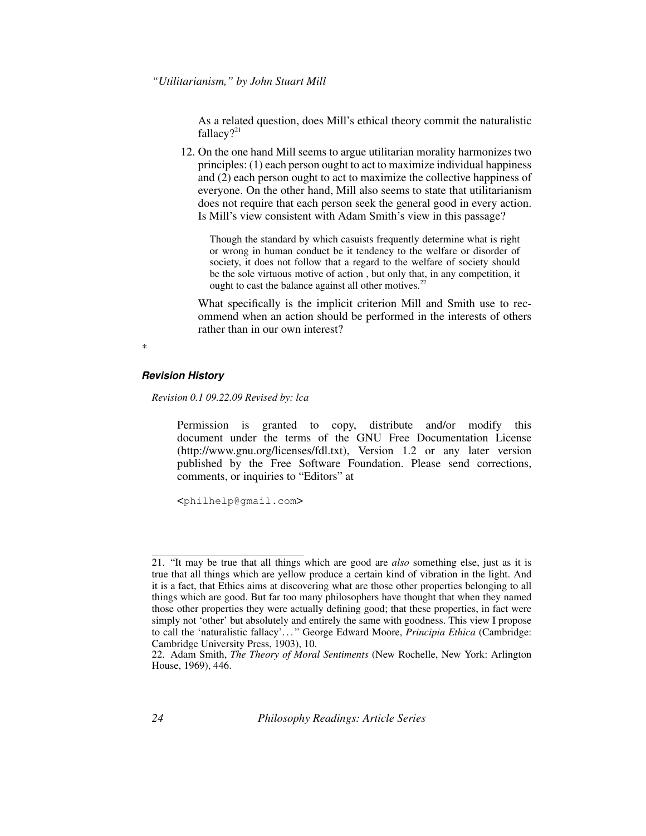<span id="page-23-1"></span>As a related question, does Mill's ethical theory commit the naturalistic fallacy $?^{21}$ 

12. On the one hand Mill seems to argue utilitarian morality harmonizes two principles: (1) each person ought to act to maximize individual happiness and (2) each person ought to act to maximize the collective happiness of everyone. On the other hand, Mill also seems to state that utilitarianism does not require that each person seek the general good in every action. Is Mill's view consistent with Adam Smith's view in this passage?

<span id="page-23-2"></span>Though the standard by which casuists frequently determine what is right or wrong in human conduct be it tendency to the welfare or disorder of society, it does not follow that a regard to the welfare of society should be the sole virtuous motive of action , but only that, in any competition, it ought to cast the balance against all other motives.<sup>22</sup>

What specifically is the implicit criterion Mill and Smith use to recommend when an action should be performed in the interests of others rather than in our own interest?

*\**

#### *Revision History*

#### *Revision 0.1 09.22.09 Revised by: lca*

Permission is granted to copy, distribute and/or modify this document under the terms of the GNU Free Documentation License (http://www.gnu.org/licenses/fdl.txt), Version 1.2 or any later version published by the Free Software Foundation. Please send corrections, comments, or inquiries to "Editors" at

<philhelp@gmail.com>

<span id="page-23-0"></span><sup>21.</sup> "It may be true that all things which are good are *also* something else, just as it is true that all things which are yellow produce a certain kind of vibration in the light. And it is a fact, that Ethics aims at discovering what are those other properties belonging to all things which are good. But far too many philosophers have thought that when they named those other properties they were actually defining good; that these properties, in fact were simply not 'other' but absolutely and entirely the same with goodness. This view I propose to call the 'naturalistic fallacy'..." George Edward Moore, *Principia Ethica* (Cambridge: Cambridge University Press, 1903), 10.

<sup>22.</sup> Adam Smith, *The Theory of Moral Sentiments* (New Rochelle, New York: Arlington House, 1969), 446.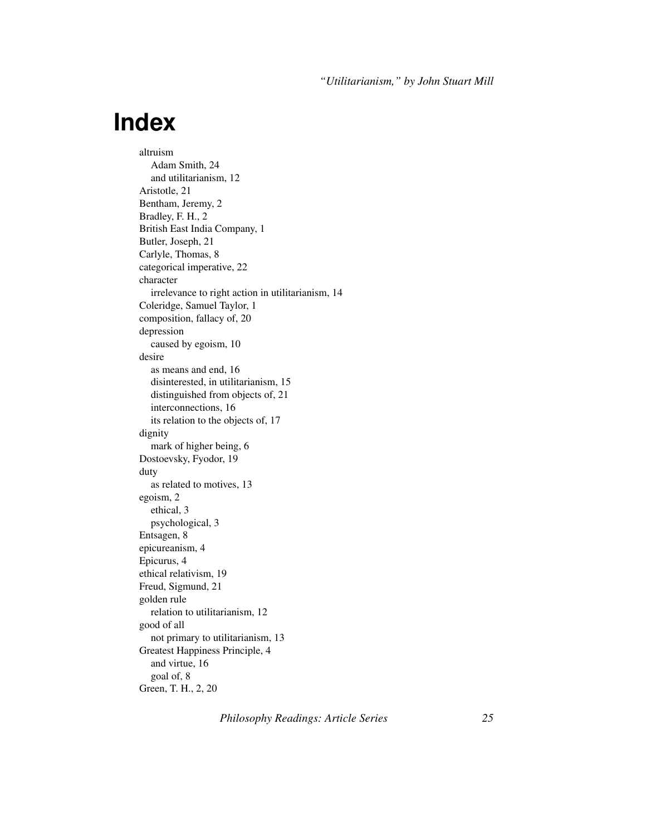*"Utilitarianism," by John Stuart Mill*

# <span id="page-24-0"></span>**Index**

altruism Adam Smith, [24](#page-23-1) and utilitarianism, [12](#page-11-0) Aristotle, [21](#page-20-0) Bentham, Jeremy, [2](#page-1-1) Bradley, F. H., [2](#page-1-2) British East India Company, [1](#page-0-0) Butler, Joseph, [21](#page-20-1) Carlyle, Thomas, [8](#page-7-0) categorical imperative, [22](#page-21-0) character irrelevance to right action in utilitarianism, [14](#page-13-0) Coleridge, Samuel Taylor, [1](#page-0-1) composition, fallacy of, [20](#page-19-0) depression caused by egoism, [10](#page-9-0) desire as means and end, [16](#page-15-0) disinterested, in utilitarianism, [15](#page-14-0) distinguished from objects of, [21](#page-20-2) interconnections, [16](#page-15-1) its relation to the objects of, [17](#page-16-0) dignity mark of higher being, [6](#page-5-0) Dostoevsky, Fyodor, [19](#page-18-1) duty as related to motives, [13](#page-12-0) egoism, [2](#page-1-3) ethical, [3](#page-2-0) psychological, [3](#page-2-1) Entsagen, [8](#page-7-1) epicureanism, [4](#page-3-1) Epicurus, [4](#page-3-2) ethical relativism, [19](#page-18-2) Freud, Sigmund, [21](#page-20-3) golden rule relation to utilitarianism, [12](#page-11-1) good of all not primary to utilitarianism, [13](#page-12-1) Greatest Happiness Principle, [4](#page-3-3) and virtue, [16](#page-15-2) goal of, [8](#page-7-2) Green, T. H., [2,](#page-1-4) [20](#page-19-1)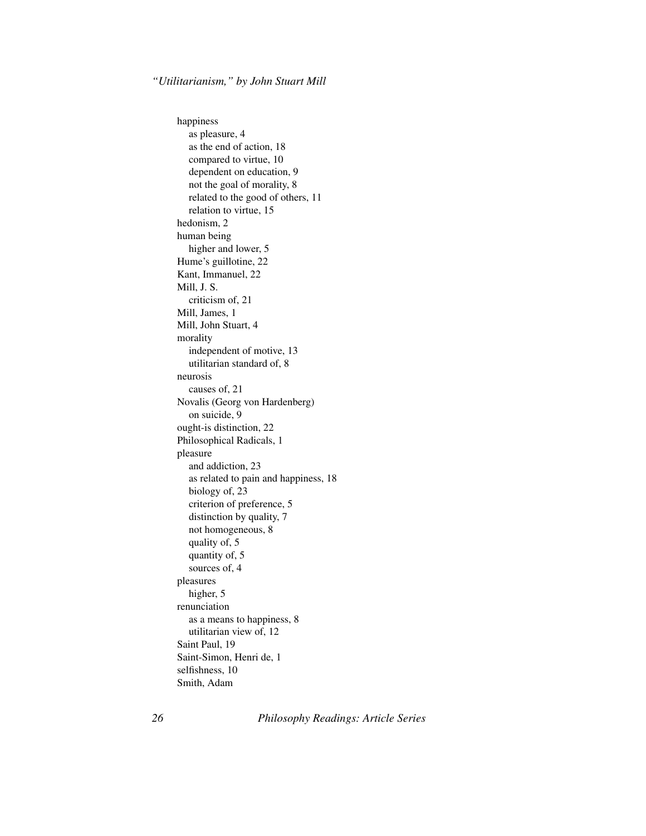<span id="page-25-0"></span>happiness as pleasure, [4](#page-24-0) as the end of action, [18](#page-17-0) compared to virtue, [10](#page-9-1) dependent on education, [9](#page-8-0) not the goal of morality, [8](#page-7-3) related to the good of others, [11](#page-10-0) relation to virtue, [15](#page-14-1) hedonism, [2](#page-1-5) human being higher and lower, [5](#page-4-0) Hume's guillotine, [22](#page-21-1) Kant, Immanuel, [22](#page-21-2) Mill, J. S. criticism of, [21](#page-20-4) Mill, James, [1](#page-0-2) Mill, John Stuart, [4](#page-3-4) morality independent of motive, [13](#page-12-2) utilitarian standard of, [8](#page-7-4) neurosis causes of, [21](#page-20-5) Novalis (Georg von Hardenberg) on suicide, [9](#page-8-1) ought-is distinction, [22](#page-21-3) Philosophical Radicals, [1](#page-0-3) pleasure and addiction, [23](#page-22-0) as related to pain and happiness, [18](#page-17-1) biology of, [23](#page-22-1) criterion of preference, [5](#page-4-1) distinction by quality, [7](#page-6-0) not homogeneous, [8](#page-7-5) quality of, [5](#page-4-2) quantity of, [5](#page-4-3) sources of, [4](#page-3-5) pleasures higher, [5](#page-4-4) renunciation as a means to happiness, [8](#page-7-6) utilitarian view of, [12](#page-11-2) Saint Paul, [19](#page-18-3) Saint-Simon, Henri de, [1](#page-0-4) selfishness, [10](#page-9-2) Smith, Adam